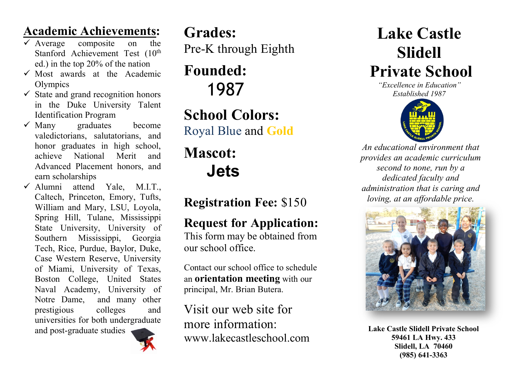## **Academic Achievements:**

- $\checkmark$  Average composite on the Stanford Achievement Test (10<sup>th</sup> ed.) in the top 20% of the nation
- $\checkmark$  Most awards at the Academic **Olympics**
- $\checkmark$  State and grand recognition honors in the Duke University Talent Identification Program
- $\checkmark$  Many graduates become valedictorians, salutatorians, and honor graduates in high school, achieve National Merit and Advanced Placement honors, and earn scholarships
- $\checkmark$  Alumni attend Yale, M.I.T., Caltech, Princeton, Emory, Tufts, William and Mary, LSU, Loyola, Spring Hill, Tulane, Mississippi State University, University of Southern Mississippi, Georgia Tech, Rice, Purdue, Baylor, Duke, Case Western Reserve, University of Miami, University of Texas, Boston College, United States Naval Academy, University of Notre Dame, and many other prestigious colleges and universities for both undergraduate

and post-graduate studies



**Grades:** Pre-K through Eighth

**Founded:** 1987

**School Colors:** Royal Blue and **Gold**

# **Mascot: Jets**

# **Registration Fee:** \$150

# **Request for Application:**

This form may be obtained from our school office.

Contact our school office to schedule an **orientation meeting** with our principal, Mr. Brian Butera.

Visit our web site for more information: www.lakecastleschool.com

# **Lake Castle Slidell Private School**

*"Excellence in Education" Established 1987*



*An educational environment that provides an academic curriculum second to none, run by a dedicated faculty and administration that is caring and loving, at an affordable price.*



**Lake Castle Slidell Private School 59461 LA Hwy. 433 Slidell, LA 70460 (985) 641-3363**